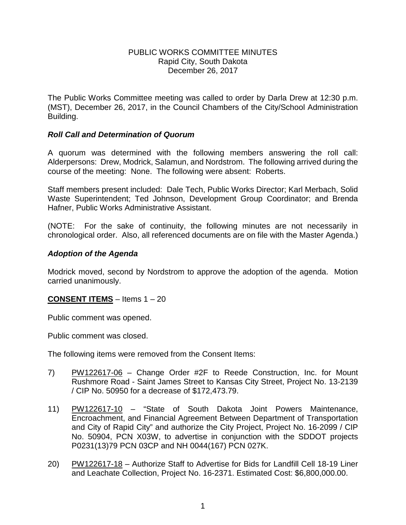### PUBLIC WORKS COMMITTEE MINUTES Rapid City, South Dakota December 26, 2017

The Public Works Committee meeting was called to order by Darla Drew at 12:30 p.m. (MST), December 26, 2017, in the Council Chambers of the City/School Administration Building.

## *Roll Call and Determination of Quorum*

A quorum was determined with the following members answering the roll call: Alderpersons: Drew, Modrick, Salamun, and Nordstrom. The following arrived during the course of the meeting: None. The following were absent: Roberts.

Staff members present included: Dale Tech, Public Works Director; Karl Merbach, Solid Waste Superintendent; Ted Johnson, Development Group Coordinator; and Brenda Hafner, Public Works Administrative Assistant.

(NOTE: For the sake of continuity, the following minutes are not necessarily in chronological order. Also, all referenced documents are on file with the Master Agenda.)

## *Adoption of the Agenda*

Modrick moved, second by Nordstrom to approve the adoption of the agenda. Motion carried unanimously.

## **CONSENT ITEMS** – Items 1 – 20

Public comment was opened.

Public comment was closed.

The following items were removed from the Consent Items:

- 7) PW122617-06 Change Order #2F to Reede Construction, Inc. for Mount Rushmore Road - Saint James Street to Kansas City Street, Project No. 13-2139 / CIP No. 50950 for a decrease of \$172,473.79.
- 11) PW122617-10 "State of South Dakota Joint Powers Maintenance, Encroachment, and Financial Agreement Between Department of Transportation and City of Rapid City" and authorize the City Project, Project No. 16-2099 / CIP No. 50904, PCN X03W, to advertise in conjunction with the SDDOT projects P0231(13)79 PCN 03CP and NH 0044(167) PCN 027K.
- 20) PW122617-18 Authorize Staff to Advertise for Bids for Landfill Cell 18-19 Liner and Leachate Collection, Project No. 16-2371. Estimated Cost: \$6,800,000.00.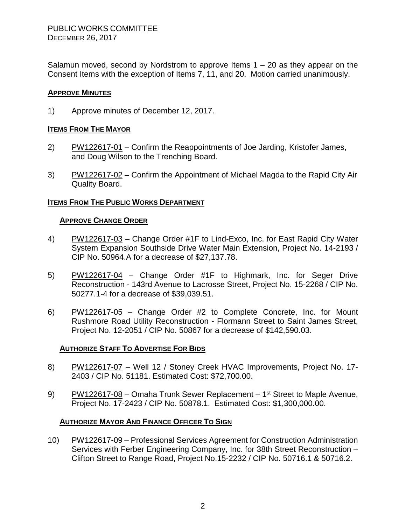Salamun moved, second by Nordstrom to approve Items  $1 - 20$  as they appear on the Consent Items with the exception of Items 7, 11, and 20. Motion carried unanimously.

### **APPROVE MINUTES**

1) Approve minutes of December 12, 2017.

### **ITEMS FROM THE MAYOR**

- 2) PW122617-01 Confirm the Reappointments of Joe Jarding, Kristofer James, and Doug Wilson to the Trenching Board.
- 3) PW122617-02 Confirm the Appointment of Michael Magda to the Rapid City Air Quality Board.

## **ITEMS FROM THE PUBLIC WORKS DEPARTMENT**

#### **APPROVE CHANGE ORDER**

- 4) PW122617-03 Change Order #1F to Lind-Exco, Inc. for East Rapid City Water System Expansion Southside Drive Water Main Extension, Project No. 14-2193 / CIP No. 50964.A for a decrease of \$27,137.78.
- 5) PW122617-04 Change Order #1F to Highmark, Inc. for Seger Drive Reconstruction - 143rd Avenue to Lacrosse Street, Project No. 15-2268 / CIP No. 50277.1-4 for a decrease of \$39,039.51.
- 6) PW122617-05 Change Order #2 to Complete Concrete, Inc. for Mount Rushmore Road Utility Reconstruction - Flormann Street to Saint James Street, Project No. 12-2051 / CIP No. 50867 for a decrease of \$142,590.03.

#### **AUTHORIZE STAFF TO ADVERTISE FOR BIDS**

- 8) PW122617-07 Well 12 / Stoney Creek HVAC Improvements, Project No. 17-2403 / CIP No. 51181. Estimated Cost: \$72,700.00.
- 9) PW122617-08 Omaha Trunk Sewer Replacement 1<sup>st</sup> Street to Maple Avenue, Project No. 17-2423 / CIP No. 50878.1. Estimated Cost: \$1,300,000.00.

#### **AUTHORIZE MAYOR AND FINANCE OFFICER TO SIGN**

10) PW122617-09 – Professional Services Agreement for Construction Administration Services with Ferber Engineering Company, Inc. for 38th Street Reconstruction – Clifton Street to Range Road, Project No.15-2232 / CIP No. 50716.1 & 50716.2.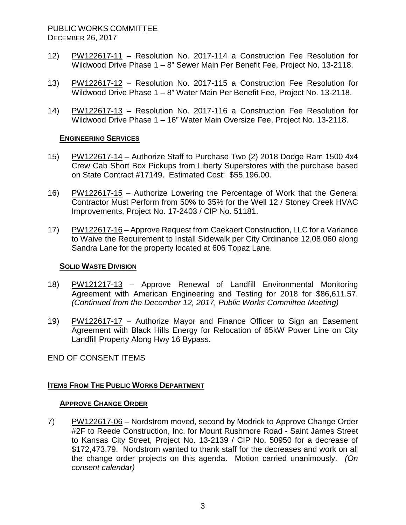- 12) PW122617-11 Resolution No. 2017-114 a Construction Fee Resolution for Wildwood Drive Phase 1 – 8" Sewer Main Per Benefit Fee, Project No. 13-2118.
- 13) PW122617-12 Resolution No. 2017-115 a Construction Fee Resolution for Wildwood Drive Phase 1 – 8" Water Main Per Benefit Fee, Project No. 13-2118.
- 14) PW122617-13 Resolution No. 2017-116 a Construction Fee Resolution for Wildwood Drive Phase 1 – 16" Water Main Oversize Fee, Project No. 13-2118.

### **ENGINEERING SERVICES**

- 15) PW122617-14 Authorize Staff to Purchase Two (2) 2018 Dodge Ram 1500 4x4 Crew Cab Short Box Pickups from Liberty Superstores with the purchase based on State Contract #17149. Estimated Cost: \$55,196.00.
- 16) PW122617-15 Authorize Lowering the Percentage of Work that the General Contractor Must Perform from 50% to 35% for the Well 12 / Stoney Creek HVAC Improvements, Project No. 17-2403 / CIP No. 51181.
- 17) PW122617-16 Approve Request from Caekaert Construction, LLC for a Variance to Waive the Requirement to Install Sidewalk per City Ordinance 12.08.060 along Sandra Lane for the property located at 606 Topaz Lane.

### **SOLID WASTE DIVISION**

- 18) PW121217-13 Approve Renewal of Landfill Environmental Monitoring Agreement with American Engineering and Testing for 2018 for \$86,611.57. *(Continued from the December 12, 2017, Public Works Committee Meeting)*
- 19) PW122617-17 Authorize Mayor and Finance Officer to Sign an Easement Agreement with Black Hills Energy for Relocation of 65kW Power Line on City Landfill Property Along Hwy 16 Bypass.

END OF CONSENT ITEMS

## **ITEMS FROM THE PUBLIC WORKS DEPARTMENT**

#### **APPROVE CHANGE ORDER**

7) PW122617-06 – Nordstrom moved, second by Modrick to Approve Change Order #2F to Reede Construction, Inc. for Mount Rushmore Road - Saint James Street to Kansas City Street, Project No. 13-2139 / CIP No. 50950 for a decrease of \$172,473.79. Nordstrom wanted to thank staff for the decreases and work on all the change order projects on this agenda. Motion carried unanimously. *(On consent calendar)*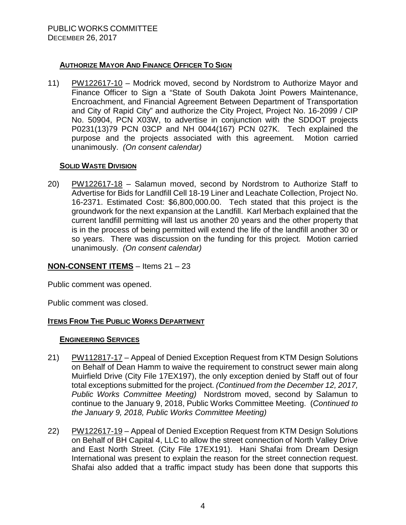## **AUTHORIZE MAYOR AND FINANCE OFFICER TO SIGN**

11) PW122617-10 – Modrick moved, second by Nordstrom to Authorize Mayor and Finance Officer to Sign a "State of South Dakota Joint Powers Maintenance, Encroachment, and Financial Agreement Between Department of Transportation and City of Rapid City" and authorize the City Project, Project No. 16-2099 / CIP No. 50904, PCN X03W, to advertise in conjunction with the SDDOT projects P0231(13)79 PCN 03CP and NH 0044(167) PCN 027K. Tech explained the purpose and the projects associated with this agreement. Motion carried unanimously. *(On consent calendar)*

## **SOLID WASTE DIVISION**

20) PW122617-18 – Salamun moved, second by Nordstrom to Authorize Staff to Advertise for Bids for Landfill Cell 18-19 Liner and Leachate Collection, Project No. 16-2371. Estimated Cost: \$6,800,000.00. Tech stated that this project is the groundwork for the next expansion at the Landfill. Karl Merbach explained that the current landfill permitting will last us another 20 years and the other property that is in the process of being permitted will extend the life of the landfill another 30 or so years. There was discussion on the funding for this project. Motion carried unanimously. *(On consent calendar)*

## **NON-CONSENT ITEMS** – Items 21 – 23

Public comment was opened.

Public comment was closed.

## **ITEMS FROM THE PUBLIC WORKS DEPARTMENT**

#### **ENGINEERING SERVICES**

- 21) PW112817-17 Appeal of Denied Exception Request from KTM Design Solutions on Behalf of Dean Hamm to waive the requirement to construct sewer main along Muirfield Drive (City File 17EX197), the only exception denied by Staff out of four total exceptions submitted for the project. *(Continued from the December 12, 2017, Public Works Committee Meeting)* Nordstrom moved, second by Salamun to continue to the January 9, 2018, Public Works Committee Meeting. (*Continued to the January 9, 2018, Public Works Committee Meeting)*
- 22) PW122617-19 Appeal of Denied Exception Request from KTM Design Solutions on Behalf of BH Capital 4, LLC to allow the street connection of North Valley Drive and East North Street. (City File 17EX191). Hani Shafai from Dream Design International was present to explain the reason for the street connection request. Shafai also added that a traffic impact study has been done that supports this